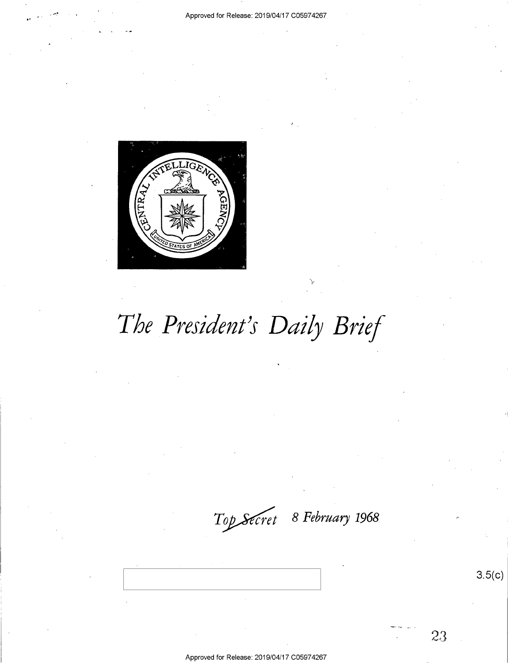

# The President's Daily Brief

Top Secret 8 February 1968

 $3.5(c)$ 

Approved for Release: 2019/04/17 C05974267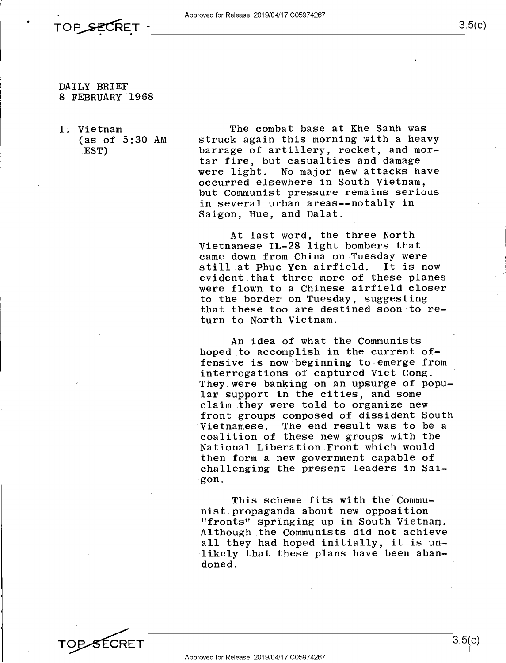

#### DAILY BRIEF 8 FEBRUARY 1968

l; Vietnam (as of 5:30 AM .EST)

The combat base at Khe Sanh was struck again this morning with a heavy barrage of artillery, rocket, and mortar fire, but casualties and damage were light. No major new attacks have occurred elsewhere in South Vietnam, but Communist pressure remains serious in several urban areas--notably in Saigon, Hue, and Dalat.

At last word, the three North Vietnamese IL-28 light bombers that came down from China on Tuesday were still at Phuc Yen airfield. It is now evident.that three more of these planes were flown to a Chinese airfield closer to the border on Tuesday, suggesting that these too are destined soon to return to North Vietnam.

An idea of what the Communists hoped to accomplish in the current offensive is now beginning to emerge from interrogations of captured Viet Cong. They were banking on an upsurge of popular support in the cities, and some claim they were told to organize new front groups composed of dissident South Vietnamese. The end result was to be a coalition.of these new groups with the National Liberation Front which would then form a new government capable of challenging the present leaders in Saigon.

This scheme fits with the Commu-<br>nist propaganda about new opposition "fronts" springing up in South Vietnam. Although the Communists did not achieve all they had hoped initially, it is unlikely that these plans have been aban-<br>doned. doned. We have a set of the set of the set of the set of the set of the set of the set of the set of the set of the set of the set of the set of the set of the set of the set of the set of the set of the set of the set of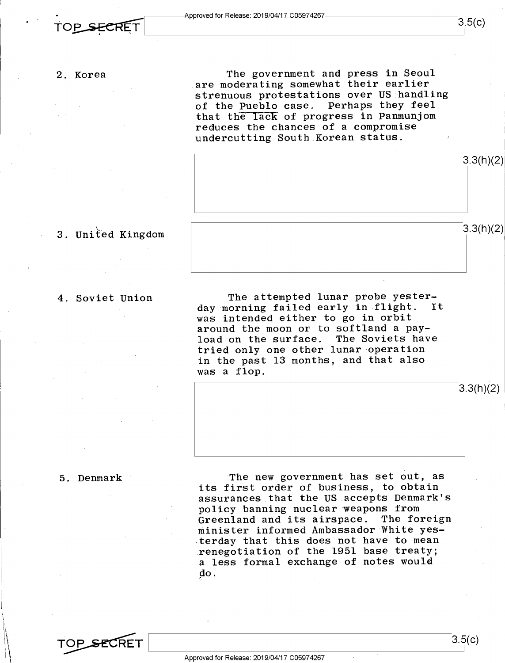### 2. Korea

The government and press in Seoul are moderating somewhat their earlier strenuous protestations over US handling of the Pueblo case. Perhaps they feel that the lack of progress in Panmunjom reduces the chances of a compromise undercutting South Korean status.



### 3. United Kingdom

### 4. Soviet Union

The attempted lunar probe yester-<br>corning failed early in flight. It day morning failed early in flight. was intended either to go in orbit around the moon or to softland a payload on the surface. The Soviets have tried only one other lunar operation in the past l3 months, and that also was a flop.

### 5. Denmark

:The new government has set out, as its first order of business, to obtain assurances that the US accepts Denmark's policy banning nuclear weapons from -Greenland and its airspace. The foreign minister informed Ambassador White yes terday that this does not have to mean renegotiation of the 1951 base treaty; a less formal exchange of notes would do

TOP SECRET

3.3(h)(2)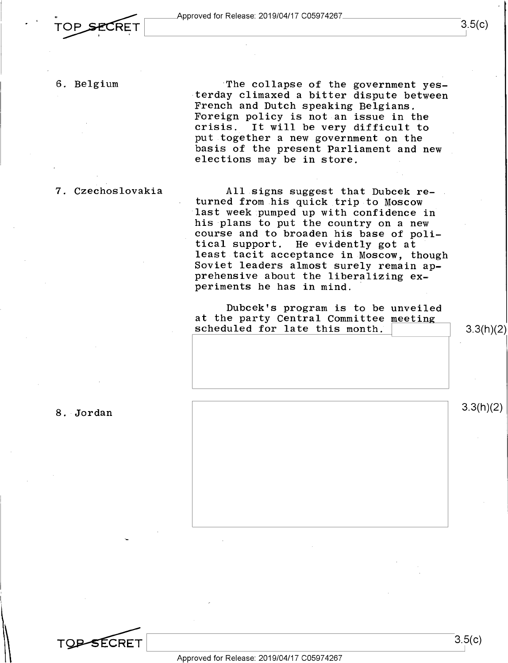$\overline{TOP}$  SECRET  $\overline{O}$   $3.5(C)$ 

6. Belgium  $\begin{array}{r} \text{The collapse of the government yes-} \\ \text{terday climaxed a bitter dispute between} \end{array}$ French and Dutch speaking Belgians.<br>Foreign policy is not an issue in the crisis. It will be very difficult to put together a new government on the basis of the present Parliament and new<br>elections may be in store.

7. Czechoslovakia All signs suggest that Dubcek re- . last week pumped up with confidence in<br>his plans to put the country on a new<br>course and to broaden his base of poli-<br>tical support. He evidently got at least tacit acceptance in Moscow, though<br>Soviet leaders almost surely remain apprehensive about the liberalizing ex-<br>periments he has in mind.

> Dubcek's program is to be unveiled<br>at the party Central Committee meeting scheduled for late this month.  $\vert$  3.3(h)(2)

8. Jordan  $3.3(h)(2)$ 

 $\cdot$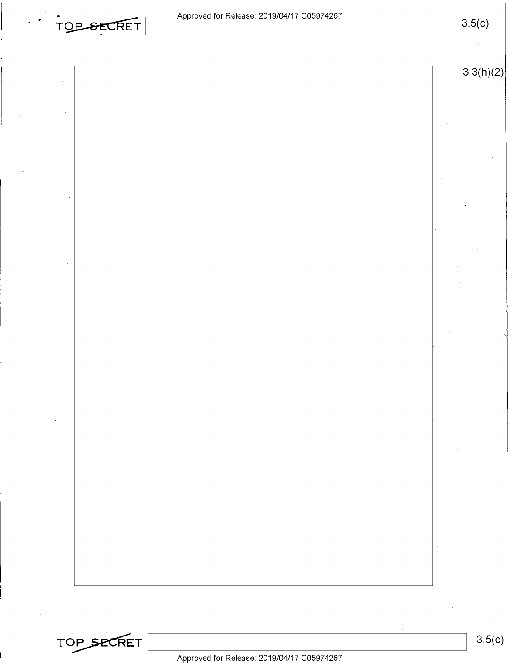| <b>TOP SECRET</b> |  |  |
|-------------------|--|--|
|                   |  |  |
|                   |  |  |

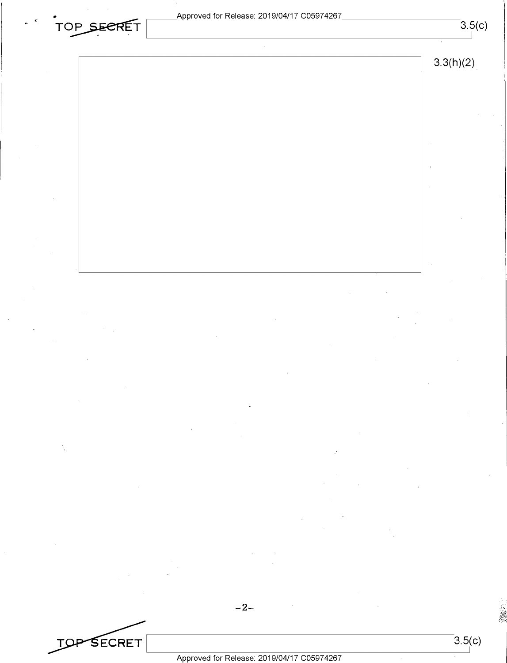## Approved for Release: 2019/04/17 C05974267<br>TOP SECRET



 $-2-$ 

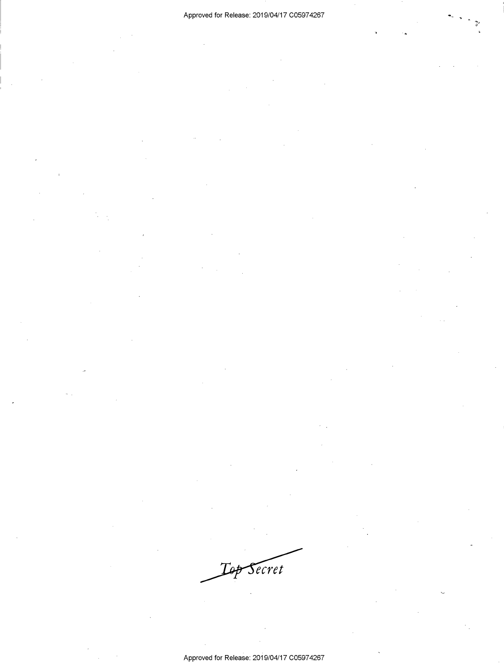Secret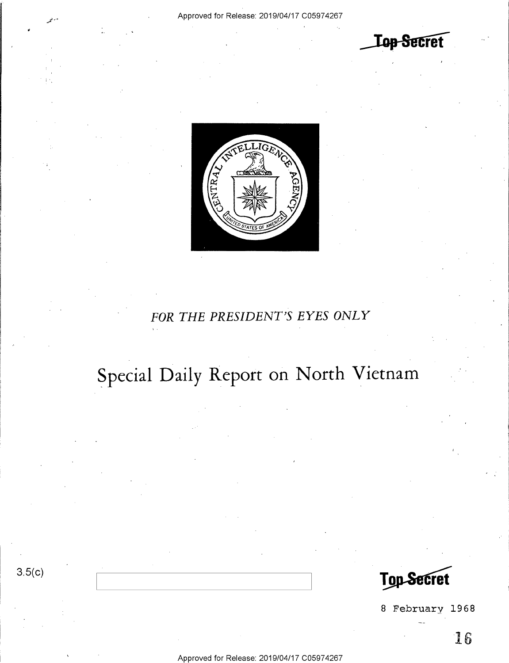**Top Secret** 



### FOR THE PRESIDENT'S EYES ONLY

## Special Daily Report on North Vietnam

**Top Secret** 

8 February 1968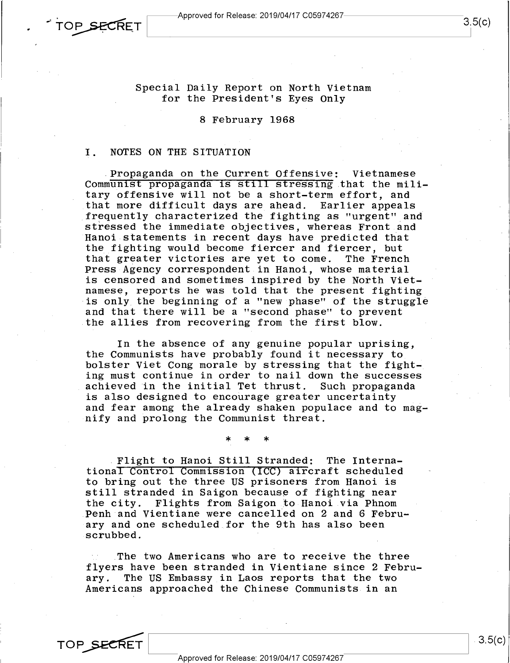Special Daily Report on North Vietnam for the President's Eyes Only

8 February 1968

### I. NOTES ON THE SITUATION

.Propaganda on the Current Offensive: Vietnamese Communist propaganda is still stressing that the military offensive will not be a short-term effort, and that more difficult days are ahead. Earlier appeals stressed the immediate objectives, whereas Front and Hanoi statements in recent days have predicted that the fighting would become fiercer and fiercer, but<br>that greater victories are yet to come. The French that greater victories are yet to come. Press Agency correspondent in Hanoi, whose material is censored and sometimes inspired by the North Vietnamese, reports he was told that the present fighting is only the beginning of a "new phase" of the struggle and that there will be a "second phase" to prevent the allies from recovering from the first blow.

In the absence of any genuine popular uprising, the Communists have probably found it necessary to bolster Viet Cong morale by stressing that the fighting must continue in order to nail down the successes achieved in the initial Tet thrust. Such propaganda is also designed to encourage greater uncertainty and fear among the already shaken populace and to magnify and prolong the Communist threat.

\* \* \*

.Flight to Hanoi Still Stranded: The International Control Commission (ICC) aircraft scheduled to bring out the three US prisoners from Hanoi is still stranded in Saigon because of fighting near the city. Flights from Saigon to Hanoi via Phnom Penh and Vientiane were cancelled on 2 and 6 February and one scheduled for the 9th has also been scrubbed.

The two Americans who are to receive the three flyers have been stranded in Vientiane since 2 Febru-<br>ary. The US Embassy in Laos reports that the two The US Embassy in Laos reports that the two Americans approached the Chinese Communists in an

Approved for Release: 2019/O4/17 CO5974267 OP SECRET Approved for Release: 2019/04/17 C05974267

TOP SECRET

 $3.5(c)$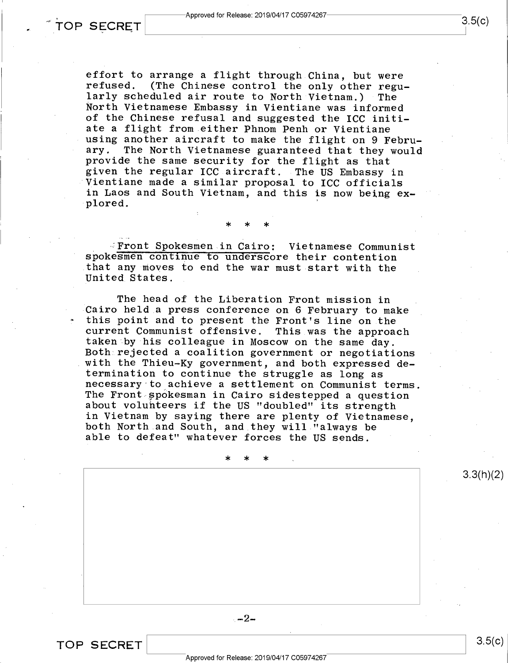effort to arrange a flight through China, but were<br>refused. (The Chinese control the only other regu-<br>larly scheduled air route to North Vietnam.) The North Vietnamese Embassy in Vientiane was informed<br>of the Chinese refusal and suggested the ICC initi-<br>ate a flight from either Phnom Penh or Vientiane<br>using another aircraft to make the flight on 9 Febru-<br>ary. The North V provide the same security for the flight as that<br>given the regular ICC aircraft. The US Embassy in<br>Vientiane made a similar proposal to ICC officials<br>in Laos and South Vietnam, and this is now being explored.

spokesmen continue to underscore their contention - Front Spokesmen in Cairo: Vietnamese Communist spokesmen continue to underscore their contention that any moves to end the war must start with the United States.

\* \* \*

The head of the Liberation Front mission in<br>Cairo held a press conference on 6 February to make<br>this point and to present the Front's line on the<br>current Communist offensive. This was the approach<br>taken by his colleague in in Vietnam by saying there are plenty of Vietnamese,<br>both North and South, and they will "always be<br>able to defeat" whatever forces the US sends.

\* \* \*

3.3(h)(2)

 $-2-$ 

TOP SECRET

s.5(¢)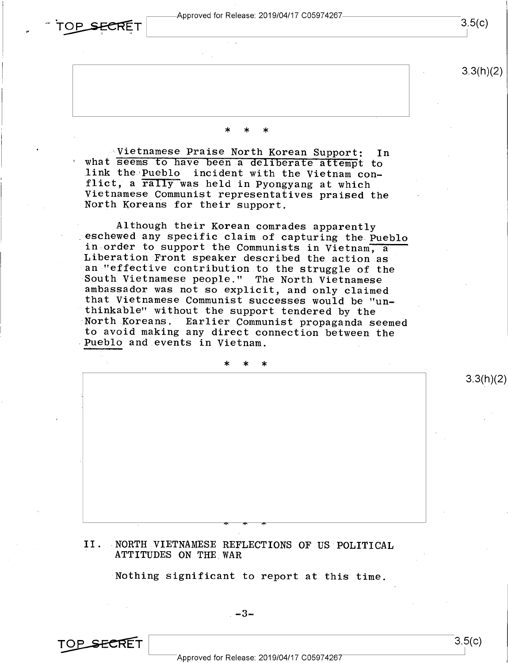$\sim$  TOP SECRET Approved for Release: 2019/04/17 C059/426/  $\sim$  3.5(c)

 $3.3(h)(2)$ 

\* \* \*

Vietnamese Praise North Korean Support: In<br>what seems to have been a deliberate attempt to<br>link the Pueblo incident with the Vietnam con-<br>flict, a rally was held in Pyongyang at which<br>Vietnamese Communist representatives p

Although their Korean comrades apparently<br>eschewed any specific claim of capturing the Pueblo<br>in order to support the Communists in Vietnam, a<br>Liberation Front speaker described the action as<br>an "effective contribution to

\* \* \*

### II. NORTH VIETNAMESE REFLECTIONS OF US POLITICAL ATTITUDES ON THE WAR

 $\begin{array}{ccc} \cdot & \cdot & \cdot & \cdot & \cdot \end{array}$ 

Nothing significant to report at this time.



 $3.3(h)(2)$